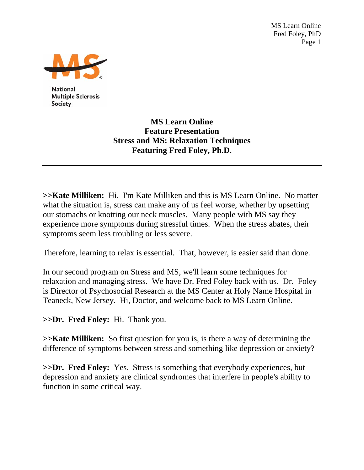MS Learn Online Fred Foley, PhD Page 1



**National Multiple Sclerosis** Society

> **MS Learn Online Feature Presentation Stress and MS: Relaxation Techniques Featuring Fred Foley, Ph.D.**

**>>Kate Milliken:** Hi. I'm Kate Milliken and this is MS Learn Online. No matter what the situation is, stress can make any of us feel worse, whether by upsetting our stomachs or knotting our neck muscles. Many people with MS say they experience more symptoms during stressful times. When the stress abates, their symptoms seem less troubling or less severe.

Therefore, learning to relax is essential. That, however, is easier said than done.

In our second program on Stress and MS, we'll learn some techniques for relaxation and managing stress. We have Dr. Fred Foley back with us. Dr. Foley is Director of Psychosocial Research at the MS Center at Holy Name Hospital in Teaneck, New Jersey. Hi, Doctor, and welcome back to MS Learn Online.

**>>Dr. Fred Foley:** Hi. Thank you.

**>>Kate Milliken:** So first question for you is, is there a way of determining the difference of symptoms between stress and something like depression or anxiety?

**>>Dr. Fred Foley:** Yes. Stress is something that everybody experiences, but depression and anxiety are clinical syndromes that interfere in people's ability to function in some critical way.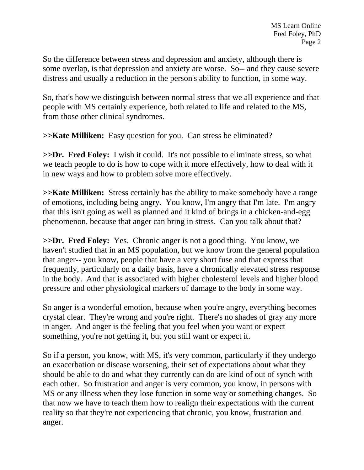So the difference between stress and depression and anxiety, although there is some overlap, is that depression and anxiety are worse. So-- and they cause severe distress and usually a reduction in the person's ability to function, in some way.

So, that's how we distinguish between normal stress that we all experience and that people with MS certainly experience, both related to life and related to the MS, from those other clinical syndromes.

**>>Kate Milliken:** Easy question for you. Can stress be eliminated?

**>>Dr. Fred Foley:** I wish it could. It's not possible to eliminate stress, so what we teach people to do is how to cope with it more effectively, how to deal with it in new ways and how to problem solve more effectively.

**>>Kate Milliken:** Stress certainly has the ability to make somebody have a range of emotions, including being angry. You know, I'm angry that I'm late. I'm angry that this isn't going as well as planned and it kind of brings in a chicken-and-egg phenomenon, because that anger can bring in stress. Can you talk about that?

**>>Dr. Fred Foley:** Yes. Chronic anger is not a good thing. You know, we haven't studied that in an MS population, but we know from the general population that anger-- you know, people that have a very short fuse and that express that frequently, particularly on a daily basis, have a chronically elevated stress response in the body. And that is associated with higher cholesterol levels and higher blood pressure and other physiological markers of damage to the body in some way.

So anger is a wonderful emotion, because when you're angry, everything becomes crystal clear. They're wrong and you're right. There's no shades of gray any more in anger. And anger is the feeling that you feel when you want or expect something, you're not getting it, but you still want or expect it.

So if a person, you know, with MS, it's very common, particularly if they undergo an exacerbation or disease worsening, their set of expectations about what they should be able to do and what they currently can do are kind of out of synch with each other. So frustration and anger is very common, you know, in persons with MS or any illness when they lose function in some way or something changes. So that now we have to teach them how to realign their expectations with the current reality so that they're not experiencing that chronic, you know, frustration and anger.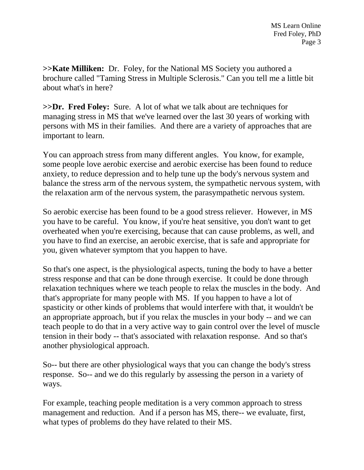**>>Kate Milliken:** Dr. Foley, for the National MS Society you authored a brochure called "Taming Stress in Multiple Sclerosis." Can you tell me a little bit about what's in here?

**>>Dr. Fred Foley:** Sure. A lot of what we talk about are techniques for managing stress in MS that we've learned over the last 30 years of working with persons with MS in their families. And there are a variety of approaches that are important to learn.

You can approach stress from many different angles. You know, for example, some people love aerobic exercise and aerobic exercise has been found to reduce anxiety, to reduce depression and to help tune up the body's nervous system and balance the stress arm of the nervous system, the sympathetic nervous system, with the relaxation arm of the nervous system, the parasympathetic nervous system.

So aerobic exercise has been found to be a good stress reliever. However, in MS you have to be careful. You know, if you're heat sensitive, you don't want to get overheated when you're exercising, because that can cause problems, as well, and you have to find an exercise, an aerobic exercise, that is safe and appropriate for you, given whatever symptom that you happen to have.

So that's one aspect, is the physiological aspects, tuning the body to have a better stress response and that can be done through exercise. It could be done through relaxation techniques where we teach people to relax the muscles in the body. And that's appropriate for many people with MS. If you happen to have a lot of spasticity or other kinds of problems that would interfere with that, it wouldn't be an appropriate approach, but if you relax the muscles in your body -- and we can teach people to do that in a very active way to gain control over the level of muscle tension in their body -- that's associated with relaxation response. And so that's another physiological approach.

So-- but there are other physiological ways that you can change the body's stress response. So-- and we do this regularly by assessing the person in a variety of ways.

For example, teaching people meditation is a very common approach to stress management and reduction. And if a person has MS, there-- we evaluate, first, what types of problems do they have related to their MS.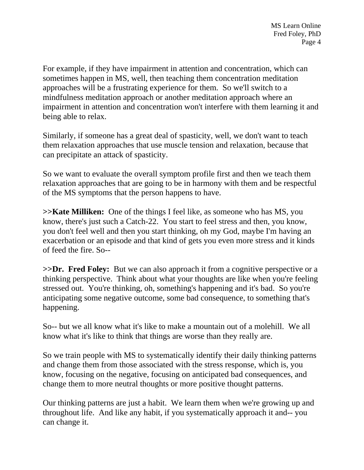For example, if they have impairment in attention and concentration, which can sometimes happen in MS, well, then teaching them concentration meditation approaches will be a frustrating experience for them. So we'll switch to a mindfulness meditation approach or another meditation approach where an impairment in attention and concentration won't interfere with them learning it and being able to relax.

Similarly, if someone has a great deal of spasticity, well, we don't want to teach them relaxation approaches that use muscle tension and relaxation, because that can precipitate an attack of spasticity.

So we want to evaluate the overall symptom profile first and then we teach them relaxation approaches that are going to be in harmony with them and be respectful of the MS symptoms that the person happens to have.

**>>Kate Milliken:** One of the things I feel like, as someone who has MS, you know, there's just such a Catch-22. You start to feel stress and then, you know, you don't feel well and then you start thinking, oh my God, maybe I'm having an exacerbation or an episode and that kind of gets you even more stress and it kinds of feed the fire. So--

**>>Dr. Fred Foley:** But we can also approach it from a cognitive perspective or a thinking perspective. Think about what your thoughts are like when you're feeling stressed out. You're thinking, oh, something's happening and it's bad. So you're anticipating some negative outcome, some bad consequence, to something that's happening.

So-- but we all know what it's like to make a mountain out of a molehill. We all know what it's like to think that things are worse than they really are.

So we train people with MS to systematically identify their daily thinking patterns and change them from those associated with the stress response, which is, you know, focusing on the negative, focusing on anticipated bad consequences, and change them to more neutral thoughts or more positive thought patterns.

Our thinking patterns are just a habit. We learn them when we're growing up and throughout life. And like any habit, if you systematically approach it and-- you can change it.